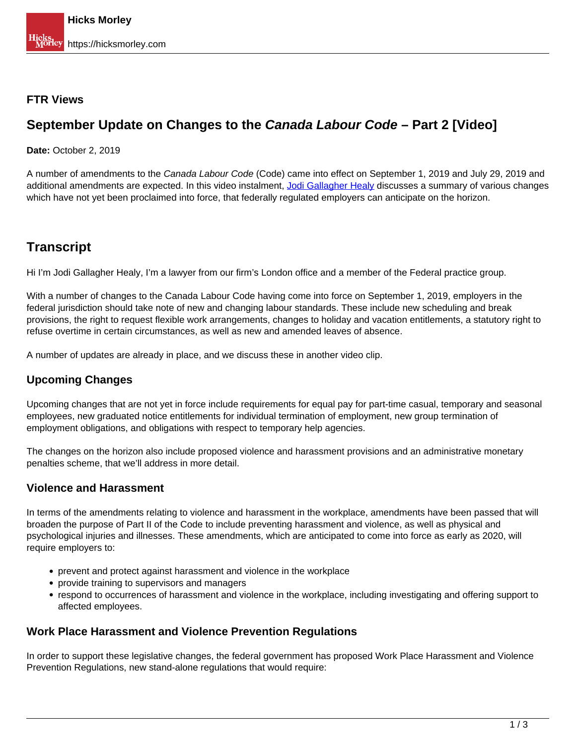### **FTR Views**

# **September Update on Changes to the Canada Labour Code – Part 2 [Video]**

#### **Date:** October 2, 2019

A number of amendments to the Canada Labour Code (Code) came into effect on September 1, 2019 and July 29, 2019 and additional amendments are expected. In this video instalment, [Jodi Gallagher Healy](https://hicksmorley.com/people/jodi-gallagher-healy/) discusses a summary of various changes which have not yet been proclaimed into force, that federally regulated employers can anticipate on the horizon.

# **Transcript**

Hi I'm Jodi Gallagher Healy, I'm a lawyer from our firm's London office and a member of the Federal practice group.

With a number of changes to the Canada Labour Code having come into force on September 1, 2019, employers in the federal jurisdiction should take note of new and changing labour standards. These include new scheduling and break provisions, the right to request flexible work arrangements, changes to holiday and vacation entitlements, a statutory right to refuse overtime in certain circumstances, as well as new and amended leaves of absence.

A number of updates are already in place, and we discuss these in another video clip.

## **Upcoming Changes**

Upcoming changes that are not yet in force include requirements for equal pay for part-time casual, temporary and seasonal employees, new graduated notice entitlements for individual termination of employment, new group termination of employment obligations, and obligations with respect to temporary help agencies.

The changes on the horizon also include proposed violence and harassment provisions and an administrative monetary penalties scheme, that we'll address in more detail.

#### **Violence and Harassment**

In terms of the amendments relating to violence and harassment in the workplace, amendments have been passed that will broaden the purpose of Part II of the Code to include preventing harassment and violence, as well as physical and psychological injuries and illnesses. These amendments, which are anticipated to come into force as early as 2020, will require employers to:

- prevent and protect against harassment and violence in the workplace
- provide training to supervisors and managers
- respond to occurrences of harassment and violence in the workplace, including investigating and offering support to affected employees.

### **Work Place Harassment and Violence Prevention Regulations**

In order to support these legislative changes, the federal government has proposed Work Place Harassment and Violence Prevention Regulations, new stand-alone regulations that would require: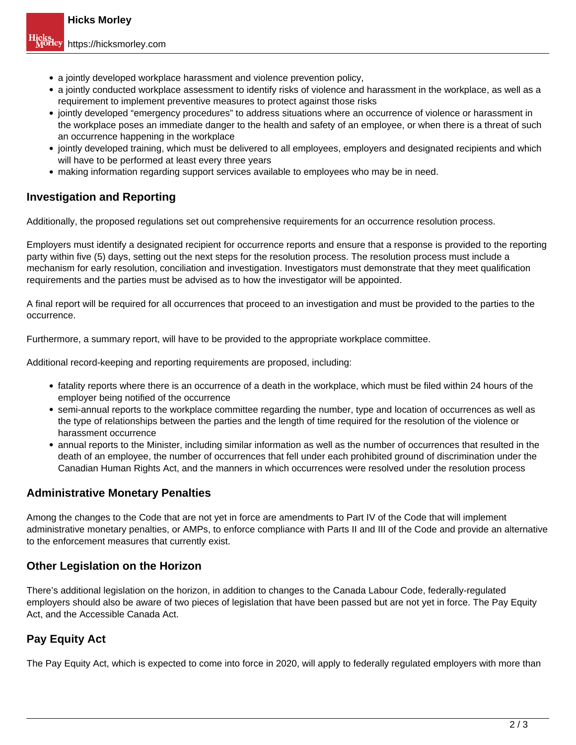- a jointly developed workplace harassment and violence prevention policy,
- a jointly conducted workplace assessment to identify risks of violence and harassment in the workplace, as well as a requirement to implement preventive measures to protect against those risks
- jointly developed "emergency procedures" to address situations where an occurrence of violence or harassment in the workplace poses an immediate danger to the health and safety of an employee, or when there is a threat of such an occurrence happening in the workplace
- jointly developed training, which must be delivered to all employees, employers and designated recipients and which will have to be performed at least every three years
- making information regarding support services available to employees who may be in need.

## **Investigation and Reporting**

Additionally, the proposed regulations set out comprehensive requirements for an occurrence resolution process.

Employers must identify a designated recipient for occurrence reports and ensure that a response is provided to the reporting party within five (5) days, setting out the next steps for the resolution process. The resolution process must include a mechanism for early resolution, conciliation and investigation. Investigators must demonstrate that they meet qualification requirements and the parties must be advised as to how the investigator will be appointed.

A final report will be required for all occurrences that proceed to an investigation and must be provided to the parties to the occurrence.

Furthermore, a summary report, will have to be provided to the appropriate workplace committee.

Additional record-keeping and reporting requirements are proposed, including:

- fatality reports where there is an occurrence of a death in the workplace, which must be filed within 24 hours of the employer being notified of the occurrence
- semi-annual reports to the workplace committee regarding the number, type and location of occurrences as well as the type of relationships between the parties and the length of time required for the resolution of the violence or harassment occurrence
- annual reports to the Minister, including similar information as well as the number of occurrences that resulted in the death of an employee, the number of occurrences that fell under each prohibited ground of discrimination under the Canadian Human Rights Act, and the manners in which occurrences were resolved under the resolution process

## **Administrative Monetary Penalties**

Among the changes to the Code that are not yet in force are amendments to Part IV of the Code that will implement administrative monetary penalties, or AMPs, to enforce compliance with Parts II and III of the Code and provide an alternative to the enforcement measures that currently exist.

## **Other Legislation on the Horizon**

There's additional legislation on the horizon, in addition to changes to the Canada Labour Code, federally-regulated employers should also be aware of two pieces of legislation that have been passed but are not yet in force. The Pay Equity Act, and the Accessible Canada Act.

## **Pay Equity Act**

The Pay Equity Act, which is expected to come into force in 2020, will apply to federally regulated employers with more than